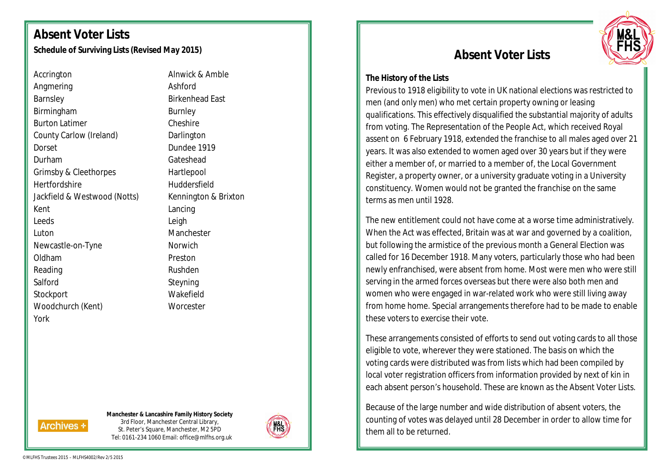# **Absent Voter Lists**

### **Schedule of Surviving Lists (Revised May 2015)**

Accrington Alnwick & Amble Angmering Barnsley Birmingham Burnley Burton Latimer County Carlow (Ireland) Dorset Durham Grimsby & Cleethorpes **Hertfordshire** Jackfield & Westwood (Notts) Kent Leeds Luton Newcastle-on-Tyne Norwich Oldham Reading Salford Stockport Wakefield Woodchurch (Kent) Worcester York

Ashford Birkenhead East Cheshire **Darlington** Dundee 1919 Gateshead Hartlepool Huddersfield Kennington & Brixton Lancing Leigh **Manchester** Preston Rushden Steyning

#### **Manchester & Lancashire Family History Society**

3rd Floor, Manchester Central Library, St. Peter's Square, Manchester, M2 5PD Tel: 0161-234 1060 Email: office@mlfhs.org.uk



## **Absent Voter Lists**



#### **The History of the Lists**

Previous to 1918 eligibility to vote in UK national elections was restricted to men (and only men) who met certain property owning or leasing qualifications. This effectively disqualified the substantial majority of adults from voting. The Representation of the People Act, which received Royal assent on 6 February 1918, extended the franchise to all males aged over 21 years. It was also extended to women aged over 30 years but if they were either a member of, or married to a member of, the Local Government Register, a property owner, or a university graduate voting in a University constituency. Women would not be granted the franchise on the same terms as men until 1928.

The new entitlement could not have come at a worse time administratively. When the Act was effected, Britain was at war and governed by a coalition, but following the armistice of the previous month a General Election was called for 16 December 1918. Many voters, particularly those who had been newly enfranchised, were absent from home. Most were men who were still serving in the armed forces overseas but there were also both men and women who were engaged in war-related work who were still living away from home home. Special arrangements therefore had to be made to enable these voters to exercise their vote.

These arrangements consisted of efforts to send out voting cards to all those eligible to vote, wherever they were stationed. The basis on which the voting cards were distributed was from lists which had been compiled by local voter registration officers from information provided by next of kin in each absent person's household. These are known as the Absent Voter Lists.

Because of the large number and wide distribution of absent voters, the counting of votes was delayed until 28 December in order to allow time for them all to be returned.

**Archives \***